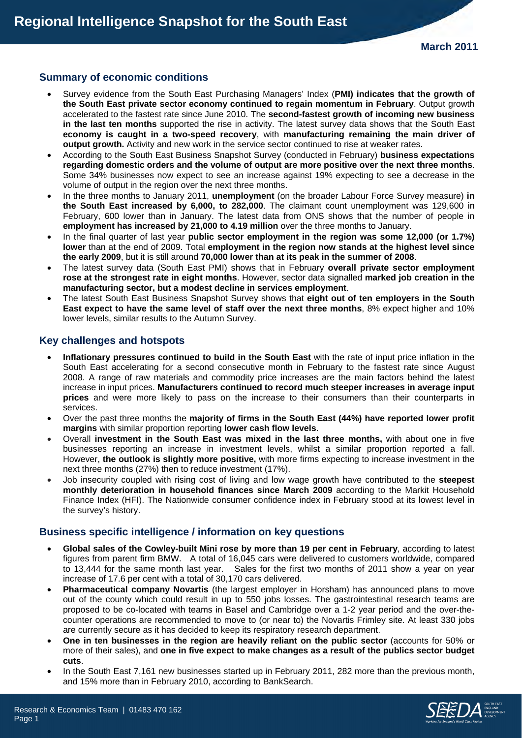# **Summary of economic conditions**

- Survey evidence from the South East Purchasing Managers' Index (**PMI) indicates that the growth of the South East private sector economy continued to regain momentum in February**. Output growth accelerated to the fastest rate since June 2010. The **second-fastest growth of incoming new business in the last ten months** supported the rise in activity. The latest survey data shows that the South East **economy is caught in a two-speed recovery**, with **manufacturing remaining the main driver of output growth.** Activity and new work in the service sector continued to rise at weaker rates.
- According to the South East Business Snapshot Survey (conducted in February) **business expectations regarding domestic orders and the volume of output are more positive over the next three months**. Some 34% businesses now expect to see an increase against 19% expecting to see a decrease in the volume of output in the region over the next three months.
- In the three months to January 2011, **unemployment** (on the broader Labour Force Survey measure) **in the South East increased by 6,000, to 282,000**. The claimant count unemployment was 129,600 in February, 600 lower than in January. The latest data from ONS shows that the number of people in **employment has increased by 21,000 to 4.19 million** over the three months to January.
- In the final quarter of last year **public sector employment in the region was some 12,000 (or 1.7%) lower** than at the end of 2009. Total **employment in the region now stands at the highest level since the early 2009**, but it is still around **70,000 lower than at its peak in the summer of 2008**.
- The latest survey data (South East PMI) shows that in February **overall private sector employment rose at the strongest rate in eight months**. However, sector data signalled **marked job creation in the manufacturing sector, but a modest decline in services employment**.
- The latest South East Business Snapshot Survey shows that **eight out of ten employers in the South East expect to have the same level of staff over the next three months**, 8% expect higher and 10% lower levels, similar results to the Autumn Survey.

## **Key challenges and hotspots**

- **Inflationary pressures continued to build in the South East** with the rate of input price inflation in the South East accelerating for a second consecutive month in February to the fastest rate since August 2008. A range of raw materials and commodity price increases are the main factors behind the latest increase in input prices. **Manufacturers continued to record much steeper increases in average input prices** and were more likely to pass on the increase to their consumers than their counterparts in services.
- Over the past three months the **majority of firms in the South East (44%) have reported lower profit margins** with similar proportion reporting **lower cash flow levels**.
- Overall **investment in the South East was mixed in the last three months,** with about one in five businesses reporting an increase in investment levels, whilst a similar proportion reported a fall. However, **the outlook is slightly more positive,** with more firms expecting to increase investment in the next three months (27%) then to reduce investment (17%).
- Job insecurity coupled with rising cost of living and low wage growth have contributed to the **steepest monthly deterioration in household finances since March 2009** according to the Markit Household Finance Index (HFI). The Nationwide consumer confidence index in February stood at its lowest level in the survey's history.

## **Business specific intelligence / information on key questions**

- **Global sales of the Cowley-built Mini rose by more than 19 per cent in February**, according to latest figures from parent firm BMW. A total of 16,045 cars were delivered to customers worldwide, compared to 13,444 for the same month last year. Sales for the first two months of 2011 show a year on year increase of 17.6 per cent with a total of 30,170 cars delivered.
- **Pharmaceutical company Novartis** (the largest employer in Horsham) has announced plans to move out of the county which could result in up to 550 jobs losses. The gastrointestinal research teams are proposed to be co-located with teams in Basel and Cambridge over a 1-2 year period and the over-thecounter operations are recommended to move to (or near to) the Novartis Frimley site. At least 330 jobs are currently secure as it has decided to keep its respiratory research department.
- **One in ten businesses in the region are heavily reliant on the public sector** (accounts for 50% or more of their sales), and **one in five expect to make changes as a result of the publics sector budget cuts**.
- In the South East 7,161 new businesses started up in February 2011, 282 more than the previous month, and 15% more than in February 2010, according to BankSearch.

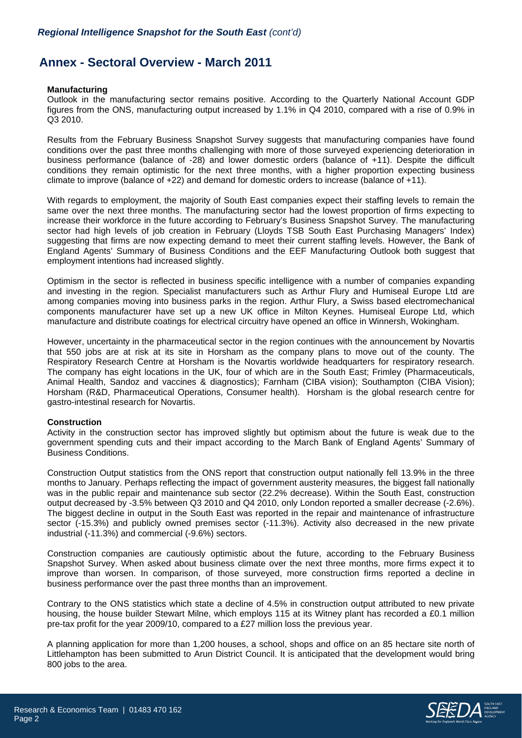# **Annex - Sectoral Overview - March 2011**

#### **Manufacturing**

Outlook in the manufacturing sector remains positive. According to the Quarterly National Account GDP figures from the ONS, manufacturing output increased by 1.1% in Q4 2010, compared with a rise of 0.9% in Q3 2010.

Results from the February Business Snapshot Survey suggests that manufacturing companies have found conditions over the past three months challenging with more of those surveyed experiencing deterioration in business performance (balance of -28) and lower domestic orders (balance of +11). Despite the difficult conditions they remain optimistic for the next three months, with a higher proportion expecting business climate to improve (balance of +22) and demand for domestic orders to increase (balance of +11).

With regards to employment, the majority of South East companies expect their staffing levels to remain the same over the next three months. The manufacturing sector had the lowest proportion of firms expecting to increase their workforce in the future according to February's Business Snapshot Survey. The manufacturing sector had high levels of job creation in February (Lloyds TSB South East Purchasing Managers' Index) suggesting that firms are now expecting demand to meet their current staffing levels. However, the Bank of England Agents' Summary of Business Conditions and the EEF Manufacturing Outlook both suggest that employment intentions had increased slightly.

Optimism in the sector is reflected in business specific intelligence with a number of companies expanding and investing in the region. Specialist manufacturers such as Arthur Flury and Humiseal Europe Ltd are among companies moving into business parks in the region. Arthur Flury, a Swiss based electromechanical components manufacturer have set up a new UK office in Milton Keynes. Humiseal Europe Ltd, which manufacture and distribute coatings for electrical circuitry have opened an office in Winnersh, Wokingham.

However, uncertainty in the pharmaceutical sector in the region continues with the announcement by Novartis that 550 jobs are at risk at its site in Horsham as the company plans to move out of the county. The Respiratory Research Centre at Horsham is the Novartis worldwide headquarters for respiratory research. The company has eight locations in the UK, four of which are in the South East; Frimley (Pharmaceuticals, Animal Health, Sandoz and vaccines & diagnostics); Farnham (CIBA vision); Southampton (CIBA Vision); Horsham (R&D, Pharmaceutical Operations, Consumer health). Horsham is the global research centre for gastro-intestinal research for Novartis.

#### **Construction**

Activity in the construction sector has improved slightly but optimism about the future is weak due to the government spending cuts and their impact according to the March Bank of England Agents' Summary of Business Conditions.

Construction Output statistics from the ONS report that construction output nationally fell 13.9% in the three months to January. Perhaps reflecting the impact of government austerity measures, the biggest fall nationally was in the public repair and maintenance sub sector (22.2% decrease). Within the South East, construction output decreased by -3.5% between Q3 2010 and Q4 2010, only London reported a smaller decrease (-2.6%). The biggest decline in output in the South East was reported in the repair and maintenance of infrastructure sector (-15.3%) and publicly owned premises sector (-11.3%). Activity also decreased in the new private industrial (-11.3%) and commercial (-9.6%) sectors.

Construction companies are cautiously optimistic about the future, according to the February Business Snapshot Survey. When asked about business climate over the next three months, more firms expect it to improve than worsen. In comparison, of those surveyed, more construction firms reported a decline in business performance over the past three months than an improvement.

Contrary to the ONS statistics which state a decline of 4.5% in construction output attributed to new private housing, the house builder Stewart Milne, which employs 115 at its Witney plant has recorded a £0.1 million pre-tax profit for the year 2009/10, compared to a £27 million loss the previous year.

A planning application for more than 1,200 houses, a school, shops and office on an 85 hectare site north of Littlehampton has been submitted to Arun District Council. It is anticipated that the development would bring 800 jobs to the area.

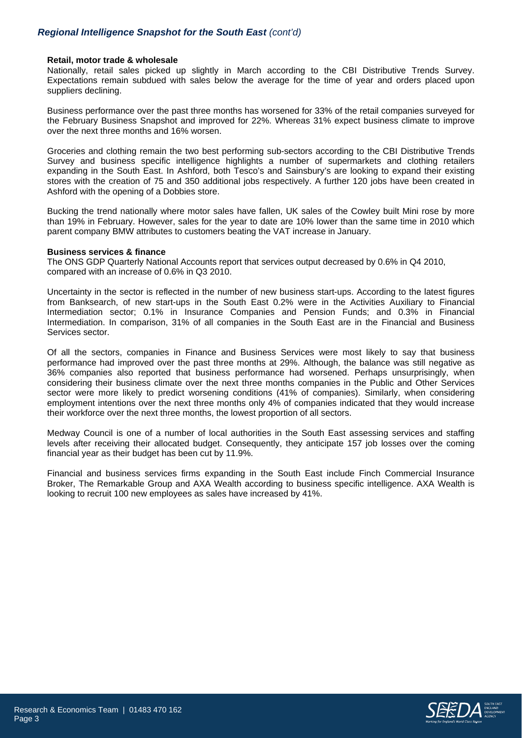## *Regional Intelligence Snapshot for the South East (cont'd)*

#### **Retail, motor trade & wholesale**

Nationally, retail sales picked up slightly in March according to the CBI Distributive Trends Survey. Expectations remain subdued with sales below the average for the time of year and orders placed upon suppliers declining.

Business performance over the past three months has worsened for 33% of the retail companies surveyed for the February Business Snapshot and improved for 22%. Whereas 31% expect business climate to improve over the next three months and 16% worsen.

Groceries and clothing remain the two best performing sub-sectors according to the CBI Distributive Trends Survey and business specific intelligence highlights a number of supermarkets and clothing retailers expanding in the South East. In Ashford, both Tesco's and Sainsbury's are looking to expand their existing stores with the creation of 75 and 350 additional jobs respectively. A further 120 jobs have been created in Ashford with the opening of a Dobbies store.

Bucking the trend nationally where motor sales have fallen, UK sales of the Cowley built Mini rose by more than 19% in February. However, sales for the year to date are 10% lower than the same time in 2010 which parent company BMW attributes to customers beating the VAT increase in January.

#### **Business services & finance**

The ONS GDP Quarterly National Accounts report that services output decreased by 0.6% in Q4 2010, compared with an increase of 0.6% in Q3 2010.

Uncertainty in the sector is reflected in the number of new business start-ups. According to the latest figures from Banksearch, of new start-ups in the South East 0.2% were in the Activities Auxiliary to Financial Intermediation sector; 0.1% in Insurance Companies and Pension Funds; and 0.3% in Financial Intermediation. In comparison, 31% of all companies in the South East are in the Financial and Business Services sector.

Of all the sectors, companies in Finance and Business Services were most likely to say that business performance had improved over the past three months at 29%. Although, the balance was still negative as 36% companies also reported that business performance had worsened. Perhaps unsurprisingly, when considering their business climate over the next three months companies in the Public and Other Services sector were more likely to predict worsening conditions (41% of companies). Similarly, when considering employment intentions over the next three months only 4% of companies indicated that they would increase their workforce over the next three months, the lowest proportion of all sectors.

Medway Council is one of a number of local authorities in the South East assessing services and staffing levels after receiving their allocated budget. Consequently, they anticipate 157 job losses over the coming financial year as their budget has been cut by 11.9%.

Financial and business services firms expanding in the South East include Finch Commercial Insurance Broker, The Remarkable Group and AXA Wealth according to business specific intelligence. AXA Wealth is looking to recruit 100 new employees as sales have increased by 41%.